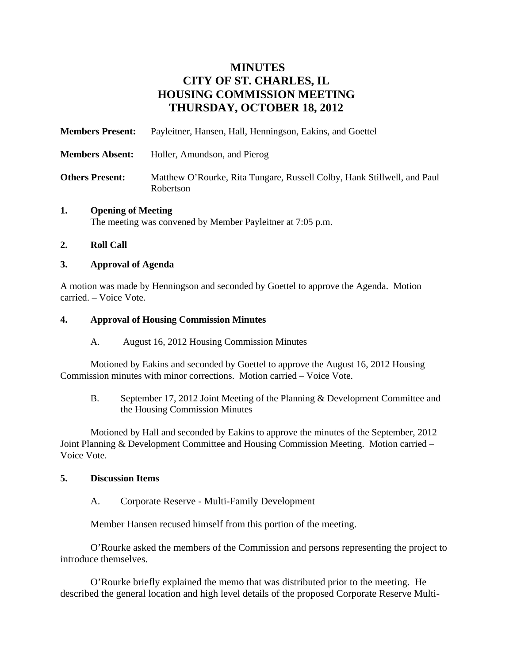# **MINUTES CITY OF ST. CHARLES, IL HOUSING COMMISSION MEETING THURSDAY, OCTOBER 18, 2012**

| <b>Members Present:</b> | Payleitner, Hansen, Hall, Henningson, Eakins, and Goettel                            |
|-------------------------|--------------------------------------------------------------------------------------|
| <b>Members Absent:</b>  | Holler, Amundson, and Pierog                                                         |
| <b>Others Present:</b>  | Matthew O'Rourke, Rita Tungare, Russell Colby, Hank Stillwell, and Paul<br>Robertson |

# **1. Opening of Meeting**

The meeting was convened by Member Payleitner at 7:05 p.m.

#### **2. Roll Call**

#### **3. Approval of Agenda**

A motion was made by Henningson and seconded by Goettel to approve the Agenda. Motion carried. – Voice Vote.

#### **4. Approval of Housing Commission Minutes**

A. August 16, 2012 Housing Commission Minutes

Motioned by Eakins and seconded by Goettel to approve the August 16, 2012 Housing Commission minutes with minor corrections. Motion carried – Voice Vote.

B. September 17, 2012 Joint Meeting of the Planning & Development Committee and the Housing Commission Minutes

Motioned by Hall and seconded by Eakins to approve the minutes of the September, 2012 Joint Planning & Development Committee and Housing Commission Meeting. Motion carried – Voice Vote.

#### **5. Discussion Items**

A. Corporate Reserve - Multi-Family Development

Member Hansen recused himself from this portion of the meeting.

O'Rourke asked the members of the Commission and persons representing the project to introduce themselves.

O'Rourke briefly explained the memo that was distributed prior to the meeting. He described the general location and high level details of the proposed Corporate Reserve Multi-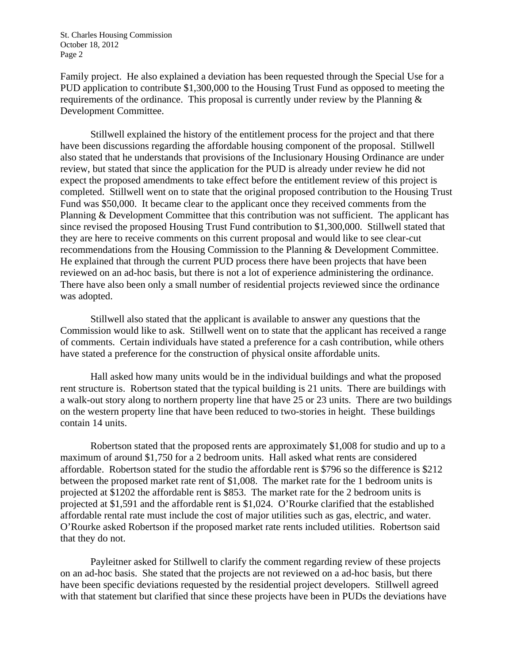Family project. He also explained a deviation has been requested through the Special Use for a PUD application to contribute \$1,300,000 to the Housing Trust Fund as opposed to meeting the requirements of the ordinance. This proposal is currently under review by the Planning  $\&$ Development Committee.

Stillwell explained the history of the entitlement process for the project and that there have been discussions regarding the affordable housing component of the proposal. Stillwell also stated that he understands that provisions of the Inclusionary Housing Ordinance are under review, but stated that since the application for the PUD is already under review he did not expect the proposed amendments to take effect before the entitlement review of this project is completed. Stillwell went on to state that the original proposed contribution to the Housing Trust Fund was \$50,000. It became clear to the applicant once they received comments from the Planning & Development Committee that this contribution was not sufficient. The applicant has since revised the proposed Housing Trust Fund contribution to \$1,300,000. Stillwell stated that they are here to receive comments on this current proposal and would like to see clear-cut recommendations from the Housing Commission to the Planning & Development Committee. He explained that through the current PUD process there have been projects that have been reviewed on an ad-hoc basis, but there is not a lot of experience administering the ordinance. There have also been only a small number of residential projects reviewed since the ordinance was adopted.

Stillwell also stated that the applicant is available to answer any questions that the Commission would like to ask. Stillwell went on to state that the applicant has received a range of comments. Certain individuals have stated a preference for a cash contribution, while others have stated a preference for the construction of physical onsite affordable units.

Hall asked how many units would be in the individual buildings and what the proposed rent structure is. Robertson stated that the typical building is 21 units. There are buildings with a walk-out story along to northern property line that have 25 or 23 units. There are two buildings on the western property line that have been reduced to two-stories in height. These buildings contain 14 units.

Robertson stated that the proposed rents are approximately \$1,008 for studio and up to a maximum of around \$1,750 for a 2 bedroom units. Hall asked what rents are considered affordable. Robertson stated for the studio the affordable rent is \$796 so the difference is \$212 between the proposed market rate rent of \$1,008. The market rate for the 1 bedroom units is projected at \$1202 the affordable rent is \$853. The market rate for the 2 bedroom units is projected at \$1,591 and the affordable rent is \$1,024. O'Rourke clarified that the established affordable rental rate must include the cost of major utilities such as gas, electric, and water. O'Rourke asked Robertson if the proposed market rate rents included utilities. Robertson said that they do not.

Payleitner asked for Stillwell to clarify the comment regarding review of these projects on an ad-hoc basis. She stated that the projects are not reviewed on a ad-hoc basis, but there have been specific deviations requested by the residential project developers. Stillwell agreed with that statement but clarified that since these projects have been in PUDs the deviations have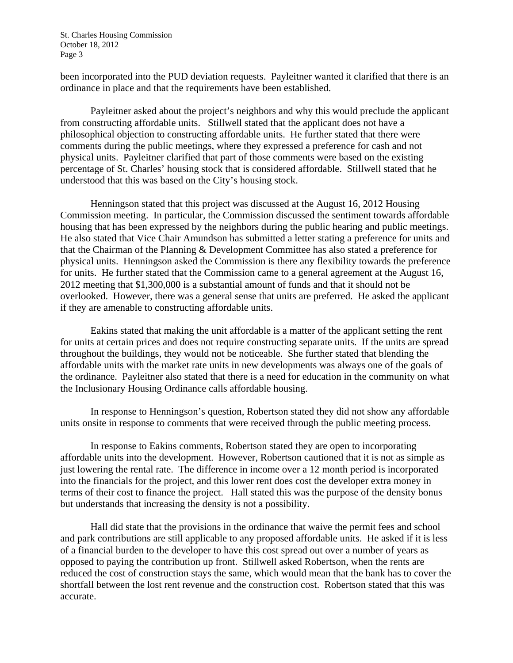been incorporated into the PUD deviation requests. Payleitner wanted it clarified that there is an ordinance in place and that the requirements have been established.

Payleitner asked about the project's neighbors and why this would preclude the applicant from constructing affordable units. Stillwell stated that the applicant does not have a philosophical objection to constructing affordable units. He further stated that there were comments during the public meetings, where they expressed a preference for cash and not physical units. Payleitner clarified that part of those comments were based on the existing percentage of St. Charles' housing stock that is considered affordable. Stillwell stated that he understood that this was based on the City's housing stock.

Henningson stated that this project was discussed at the August 16, 2012 Housing Commission meeting. In particular, the Commission discussed the sentiment towards affordable housing that has been expressed by the neighbors during the public hearing and public meetings. He also stated that Vice Chair Amundson has submitted a letter stating a preference for units and that the Chairman of the Planning & Development Committee has also stated a preference for physical units. Henningson asked the Commission is there any flexibility towards the preference for units. He further stated that the Commission came to a general agreement at the August 16, 2012 meeting that \$1,300,000 is a substantial amount of funds and that it should not be overlooked. However, there was a general sense that units are preferred. He asked the applicant if they are amenable to constructing affordable units.

Eakins stated that making the unit affordable is a matter of the applicant setting the rent for units at certain prices and does not require constructing separate units. If the units are spread throughout the buildings, they would not be noticeable. She further stated that blending the affordable units with the market rate units in new developments was always one of the goals of the ordinance. Payleitner also stated that there is a need for education in the community on what the Inclusionary Housing Ordinance calls affordable housing.

In response to Henningson's question, Robertson stated they did not show any affordable units onsite in response to comments that were received through the public meeting process.

In response to Eakins comments, Robertson stated they are open to incorporating affordable units into the development. However, Robertson cautioned that it is not as simple as just lowering the rental rate. The difference in income over a 12 month period is incorporated into the financials for the project, and this lower rent does cost the developer extra money in terms of their cost to finance the project. Hall stated this was the purpose of the density bonus but understands that increasing the density is not a possibility.

Hall did state that the provisions in the ordinance that waive the permit fees and school and park contributions are still applicable to any proposed affordable units. He asked if it is less of a financial burden to the developer to have this cost spread out over a number of years as opposed to paying the contribution up front. Stillwell asked Robertson, when the rents are reduced the cost of construction stays the same, which would mean that the bank has to cover the shortfall between the lost rent revenue and the construction cost. Robertson stated that this was accurate.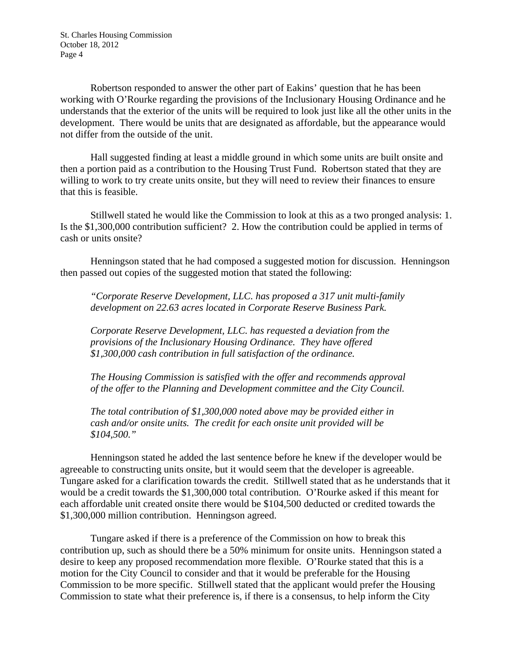Robertson responded to answer the other part of Eakins' question that he has been working with O'Rourke regarding the provisions of the Inclusionary Housing Ordinance and he understands that the exterior of the units will be required to look just like all the other units in the development. There would be units that are designated as affordable, but the appearance would not differ from the outside of the unit.

Hall suggested finding at least a middle ground in which some units are built onsite and then a portion paid as a contribution to the Housing Trust Fund. Robertson stated that they are willing to work to try create units onsite, but they will need to review their finances to ensure that this is feasible.

Stillwell stated he would like the Commission to look at this as a two pronged analysis: 1. Is the \$1,300,000 contribution sufficient? 2. How the contribution could be applied in terms of cash or units onsite?

Henningson stated that he had composed a suggested motion for discussion. Henningson then passed out copies of the suggested motion that stated the following:

*"Corporate Reserve Development, LLC. has proposed a 317 unit multi-family development on 22.63 acres located in Corporate Reserve Business Park.* 

*Corporate Reserve Development, LLC. has requested a deviation from the provisions of the Inclusionary Housing Ordinance. They have offered \$1,300,000 cash contribution in full satisfaction of the ordinance.* 

*The Housing Commission is satisfied with the offer and recommends approval of the offer to the Planning and Development committee and the City Council.* 

*The total contribution of \$1,300,000 noted above may be provided either in cash and/or onsite units. The credit for each onsite unit provided will be \$104,500."* 

Henningson stated he added the last sentence before he knew if the developer would be agreeable to constructing units onsite, but it would seem that the developer is agreeable. Tungare asked for a clarification towards the credit. Stillwell stated that as he understands that it would be a credit towards the \$1,300,000 total contribution. O'Rourke asked if this meant for each affordable unit created onsite there would be \$104,500 deducted or credited towards the \$1,300,000 million contribution. Henningson agreed.

Tungare asked if there is a preference of the Commission on how to break this contribution up, such as should there be a 50% minimum for onsite units. Henningson stated a desire to keep any proposed recommendation more flexible. O'Rourke stated that this is a motion for the City Council to consider and that it would be preferable for the Housing Commission to be more specific. Stillwell stated that the applicant would prefer the Housing Commission to state what their preference is, if there is a consensus, to help inform the City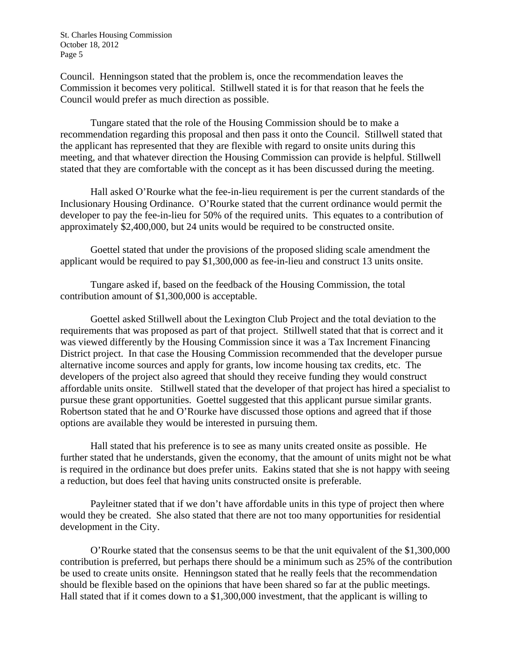Council. Henningson stated that the problem is, once the recommendation leaves the Commission it becomes very political. Stillwell stated it is for that reason that he feels the Council would prefer as much direction as possible.

Tungare stated that the role of the Housing Commission should be to make a recommendation regarding this proposal and then pass it onto the Council. Stillwell stated that the applicant has represented that they are flexible with regard to onsite units during this meeting, and that whatever direction the Housing Commission can provide is helpful. Stillwell stated that they are comfortable with the concept as it has been discussed during the meeting.

Hall asked O'Rourke what the fee-in-lieu requirement is per the current standards of the Inclusionary Housing Ordinance. O'Rourke stated that the current ordinance would permit the developer to pay the fee-in-lieu for 50% of the required units. This equates to a contribution of approximately \$2,400,000, but 24 units would be required to be constructed onsite.

Goettel stated that under the provisions of the proposed sliding scale amendment the applicant would be required to pay \$1,300,000 as fee-in-lieu and construct 13 units onsite.

Tungare asked if, based on the feedback of the Housing Commission, the total contribution amount of \$1,300,000 is acceptable.

Goettel asked Stillwell about the Lexington Club Project and the total deviation to the requirements that was proposed as part of that project. Stillwell stated that that is correct and it was viewed differently by the Housing Commission since it was a Tax Increment Financing District project. In that case the Housing Commission recommended that the developer pursue alternative income sources and apply for grants, low income housing tax credits, etc. The developers of the project also agreed that should they receive funding they would construct affordable units onsite. Stillwell stated that the developer of that project has hired a specialist to pursue these grant opportunities. Goettel suggested that this applicant pursue similar grants. Robertson stated that he and O'Rourke have discussed those options and agreed that if those options are available they would be interested in pursuing them.

Hall stated that his preference is to see as many units created onsite as possible. He further stated that he understands, given the economy, that the amount of units might not be what is required in the ordinance but does prefer units. Eakins stated that she is not happy with seeing a reduction, but does feel that having units constructed onsite is preferable.

Payleitner stated that if we don't have affordable units in this type of project then where would they be created. She also stated that there are not too many opportunities for residential development in the City.

O'Rourke stated that the consensus seems to be that the unit equivalent of the \$1,300,000 contribution is preferred, but perhaps there should be a minimum such as 25% of the contribution be used to create units onsite. Henningson stated that he really feels that the recommendation should be flexible based on the opinions that have been shared so far at the public meetings. Hall stated that if it comes down to a \$1,300,000 investment, that the applicant is willing to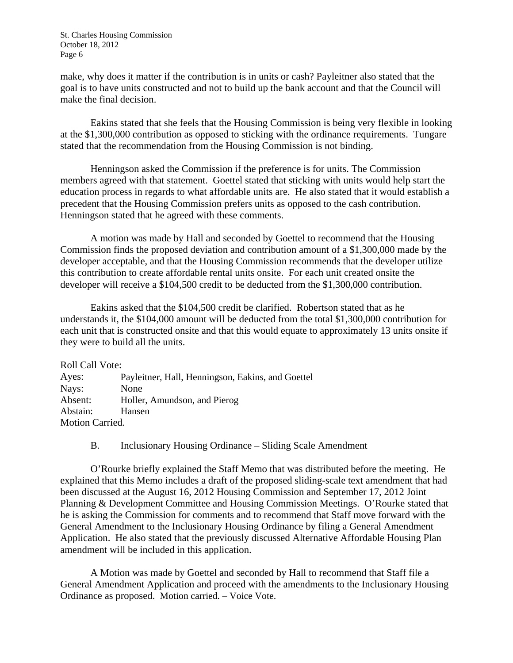make, why does it matter if the contribution is in units or cash? Payleitner also stated that the goal is to have units constructed and not to build up the bank account and that the Council will make the final decision.

Eakins stated that she feels that the Housing Commission is being very flexible in looking at the \$1,300,000 contribution as opposed to sticking with the ordinance requirements. Tungare stated that the recommendation from the Housing Commission is not binding.

Henningson asked the Commission if the preference is for units. The Commission members agreed with that statement. Goettel stated that sticking with units would help start the education process in regards to what affordable units are. He also stated that it would establish a precedent that the Housing Commission prefers units as opposed to the cash contribution. Henningson stated that he agreed with these comments.

A motion was made by Hall and seconded by Goettel to recommend that the Housing Commission finds the proposed deviation and contribution amount of a \$1,300,000 made by the developer acceptable, and that the Housing Commission recommends that the developer utilize this contribution to create affordable rental units onsite. For each unit created onsite the developer will receive a \$104,500 credit to be deducted from the \$1,300,000 contribution.

Eakins asked that the \$104,500 credit be clarified. Robertson stated that as he understands it, the \$104,000 amount will be deducted from the total \$1,300,000 contribution for each unit that is constructed onsite and that this would equate to approximately 13 units onsite if they were to build all the units.

Roll Call Vote: Ayes: Payleitner, Hall, Henningson, Eakins, and Goettel Nays: None Absent: Holler, Amundson, and Pierog Abstain: Hansen Motion Carried.

B. Inclusionary Housing Ordinance – Sliding Scale Amendment

O'Rourke briefly explained the Staff Memo that was distributed before the meeting. He explained that this Memo includes a draft of the proposed sliding-scale text amendment that had been discussed at the August 16, 2012 Housing Commission and September 17, 2012 Joint Planning & Development Committee and Housing Commission Meetings. O'Rourke stated that he is asking the Commission for comments and to recommend that Staff move forward with the General Amendment to the Inclusionary Housing Ordinance by filing a General Amendment Application. He also stated that the previously discussed Alternative Affordable Housing Plan amendment will be included in this application.

A Motion was made by Goettel and seconded by Hall to recommend that Staff file a General Amendment Application and proceed with the amendments to the Inclusionary Housing Ordinance as proposed. Motion carried. – Voice Vote.